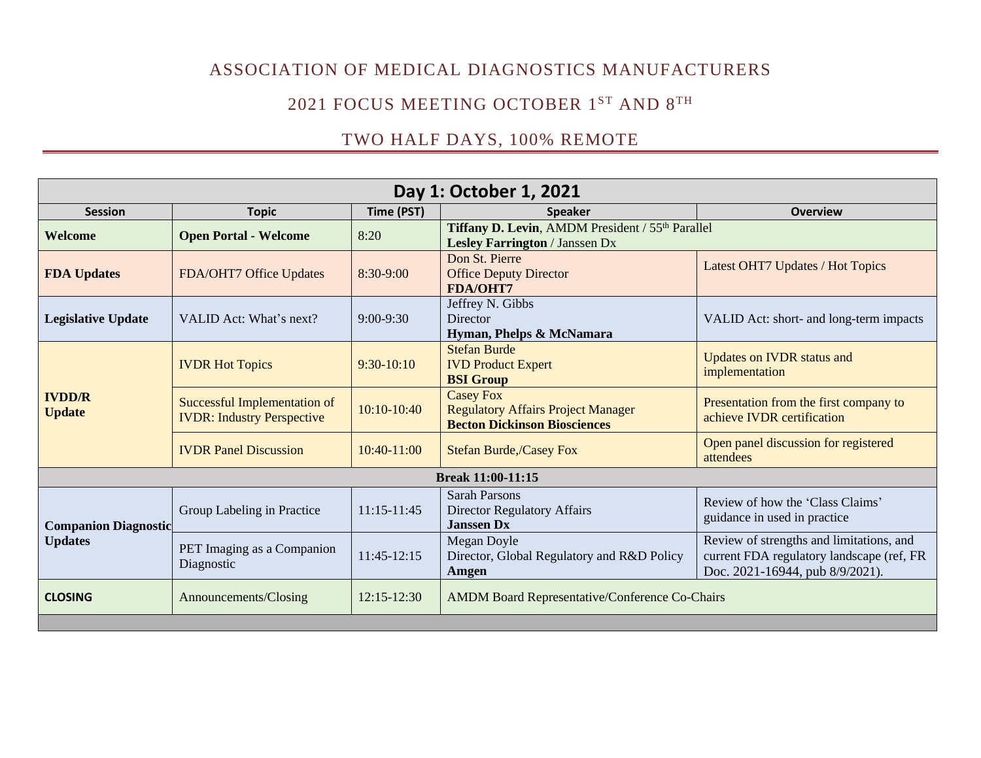# ASSOCIATION OF MEDICAL DIAGNOSTICS MANUFACTURERS

#### 2021 FOCUS MEETING OCTOBER  $1^\text{ST}$  and  $8^\text{TH}$

## TWO HALF DAYS, 100% REMOTE

| Day 1: October 1, 2021                        |                                                                          |                 |                                                                                                      |                                                                                                                          |  |  |
|-----------------------------------------------|--------------------------------------------------------------------------|-----------------|------------------------------------------------------------------------------------------------------|--------------------------------------------------------------------------------------------------------------------------|--|--|
| <b>Session</b>                                | <b>Topic</b>                                                             | Time (PST)      | <b>Speaker</b>                                                                                       | <b>Overview</b>                                                                                                          |  |  |
| Welcome                                       | <b>Open Portal - Welcome</b>                                             | 8:20            | Tiffany D. Levin, AMDM President / 55th Parallel<br><b>Lesley Farrington / Janssen Dx</b>            |                                                                                                                          |  |  |
| <b>FDA Updates</b>                            | FDA/OHT7 Office Updates                                                  | 8:30-9:00       | Don St. Pierre<br><b>Office Deputy Director</b><br><b>FDA/OHT7</b>                                   | Latest OHT7 Updates / Hot Topics                                                                                         |  |  |
| <b>Legislative Update</b>                     | VALID Act: What's next?                                                  | $9:00 - 9:30$   | Jeffrey N. Gibbs<br>Director<br>Hyman, Phelps & McNamara                                             | VALID Act: short- and long-term impacts                                                                                  |  |  |
| <b>IVDD/R</b><br><b>Update</b>                | <b>IVDR Hot Topics</b>                                                   | $9:30-10:10$    | <b>Stefan Burde</b><br><b>IVD Product Expert</b><br><b>BSI</b> Group                                 | <b>Updates on IVDR status and</b><br>implementation                                                                      |  |  |
|                                               | <b>Successful Implementation of</b><br><b>IVDR: Industry Perspective</b> | $10:10-10:40$   | <b>Casey Fox</b><br><b>Regulatory Affairs Project Manager</b><br><b>Becton Dickinson Biosciences</b> | Presentation from the first company to<br>achieve IVDR certification                                                     |  |  |
|                                               | <b>IVDR Panel Discussion</b>                                             | 10:40-11:00     | <b>Stefan Burde,/Casey Fox</b>                                                                       | Open panel discussion for registered<br>attendees                                                                        |  |  |
| Break 11:00-11:15                             |                                                                          |                 |                                                                                                      |                                                                                                                          |  |  |
| <b>Companion Diagnostic</b><br><b>Updates</b> | Group Labeling in Practice                                               | 11:15-11:45     | <b>Sarah Parsons</b><br><b>Director Regulatory Affairs</b><br><b>Janssen Dx</b>                      | Review of how the 'Class Claims'<br>guidance in used in practice                                                         |  |  |
|                                               | PET Imaging as a Companion<br>Diagnostic                                 | $11:45-12:15$   | Megan Doyle<br>Director, Global Regulatory and R&D Policy<br>Amgen                                   | Review of strengths and limitations, and<br>current FDA regulatory landscape (ref, FR<br>Doc. 2021-16944, pub 8/9/2021). |  |  |
| <b>CLOSING</b>                                | Announcements/Closing                                                    | $12:15 - 12:30$ | <b>AMDM Board Representative/Conference Co-Chairs</b>                                                |                                                                                                                          |  |  |
|                                               |                                                                          |                 |                                                                                                      |                                                                                                                          |  |  |